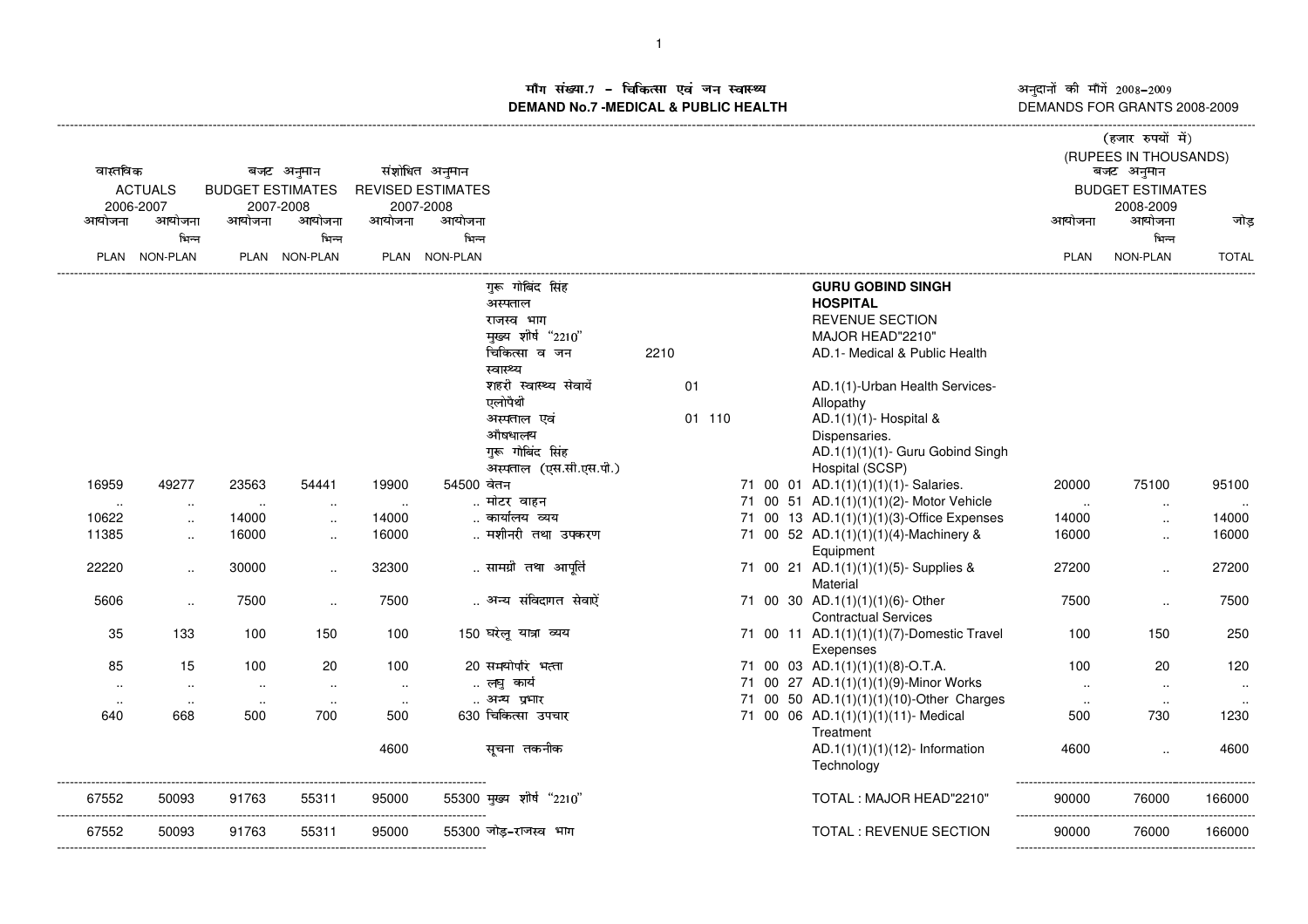ाँग संख्या.7 – चिकित्सा एवं जन स्वास्थ्य<br>IAND No.7 -MEDICAL & DURLIC HEALTH **DEMAND No.7 -MEDICAL & PUBLIC HEALTH**

अनुदानों की माँगें 2008–2009<br>DEMANDS FOR GRANTS 2008-2009

|                |               |                         |                      |                          |                |                          |      |        |  |                                           | (हजार रुपयों में) |                                     |              |  |
|----------------|---------------|-------------------------|----------------------|--------------------------|----------------|--------------------------|------|--------|--|-------------------------------------------|-------------------|-------------------------------------|--------------|--|
| वास्तविक       |               |                         | बजट अनुमान           |                          | संशोधित अनुमान |                          |      |        |  |                                           |                   | (RUPEES IN THOUSANDS)<br>बजट अनुमान |              |  |
| <b>ACTUALS</b> |               | <b>BUDGET ESTIMATES</b> |                      | <b>REVISED ESTIMATES</b> |                |                          |      |        |  |                                           |                   | <b>BUDGET ESTIMATES</b>             |              |  |
| 2006-2007      |               |                         | 2007-2008            |                          | 2007-2008      |                          |      |        |  |                                           |                   | 2008-2009                           |              |  |
| आयोजना         | आयोजना        | आयोजना                  | आयोजना               | आयोजना                   | आयोजना         |                          |      |        |  |                                           | आयोजना            | आयोजना                              | जोड          |  |
|                | भिन्न         |                         | भिन्न                |                          | भिन्न          |                          |      |        |  |                                           |                   | भिन्न                               |              |  |
|                | PLAN NON-PLAN |                         | PLAN NON-PLAN        |                          | PLAN NON-PLAN  |                          |      |        |  |                                           | <b>PLAN</b>       | NON-PLAN                            | <b>TOTAL</b> |  |
|                |               |                         |                      |                          |                | गुरू गोबिंद सिंह         |      |        |  | <b>GURU GOBIND SINGH</b>                  |                   |                                     |              |  |
|                |               |                         |                      |                          |                | अस्पताल                  |      |        |  | <b>HOSPITAL</b>                           |                   |                                     |              |  |
|                |               |                         |                      |                          |                | राजस्व भाग               |      |        |  | <b>REVENUE SECTION</b>                    |                   |                                     |              |  |
|                |               |                         |                      |                          |                | मुख्य शीर्ष "2210"       |      |        |  | MAJOR HEAD"2210"                          |                   |                                     |              |  |
|                |               |                         |                      |                          |                | चिकित्सा व जन            | 2210 |        |  | AD.1- Medical & Public Health             |                   |                                     |              |  |
|                |               |                         |                      |                          |                | स्वास्थ्य                |      |        |  |                                           |                   |                                     |              |  |
|                |               |                         |                      |                          |                | शहरी स्वास्थ्य सेवायें   |      | 01     |  | AD.1(1)-Urban Health Services-            |                   |                                     |              |  |
|                |               |                         |                      |                          |                | एलोपैथी                  |      |        |  | Allopathy                                 |                   |                                     |              |  |
|                |               |                         |                      |                          |                | अस्पताल एवं              |      | 01 110 |  | AD.1 $(1)(1)$ - Hospital &                |                   |                                     |              |  |
|                |               |                         |                      |                          |                | औषधालय                   |      |        |  | Dispensaries.                             |                   |                                     |              |  |
|                |               |                         |                      |                          |                | गुरू गोबिंद सिंह         |      |        |  | AD.1(1)(1)(1)- Guru Gobind Singh          |                   |                                     |              |  |
|                |               |                         |                      |                          |                | अस्पताल (एस.सी.एस.पी.)   |      |        |  | Hospital (SCSP)                           |                   |                                     |              |  |
| 16959          | 49277         | 23563                   | 54441                | 19900                    | 54500 वेतन     |                          |      |        |  | 71 00 01 AD.1(1)(1)(1)(1)- Salaries.      | 20000             | 75100                               | 95100        |  |
| $\sim$         | $\sim$        | $\sim$                  | $\ddotsc$            | $\sim$                   |                | मोटर वाहन                |      |        |  | 71 00 51 AD.1(1)(1)(1)(2)- Motor Vehicle  | $\sim$            | $\sim$                              | $\ddotsc$    |  |
| 10622          | $\sim$        | 14000                   | $\ddot{\phantom{a}}$ | 14000                    |                | कार्यालय व्यय            |      |        |  | 71 00 13 AD.1(1)(1)(1)(3)-Office Expenses | 14000             | $\ddotsc$                           | 14000        |  |
| 11385          | $\ddotsc$     | 16000                   | $\ddotsc$            | 16000                    |                | मशीनरी तथा उपकरण         |      |        |  | 71 00 52 AD.1(1)(1)(1)(4)-Machinery &     | 16000             | $\ddotsc$                           | 16000        |  |
|                |               |                         |                      |                          |                |                          |      |        |  | Equipment                                 |                   |                                     |              |  |
| 22220          | $\cdot$ .     | 30000                   | $\ddotsc$            | 32300                    |                | सामग्री तथा आपूर्ति      |      |        |  | 71 00 21 AD.1(1)(1)(1)(5)- Supplies &     | 27200             | $\ddotsc$                           | 27200        |  |
|                |               |                         |                      |                          |                |                          |      |        |  | Material                                  |                   |                                     |              |  |
| 5606           | $\ddotsc$     | 7500                    | $\ddot{\phantom{a}}$ | 7500                     |                | अन्य संविदागत सेवाऐं     |      |        |  | 71 00 30 AD.1(1)(1)(1)(6)- Other          | 7500              | $\ddotsc$                           | 7500         |  |
|                |               |                         |                      |                          |                |                          |      |        |  | <b>Contractual Services</b>               |                   |                                     |              |  |
| 35             | 133           | 100                     | 150                  | 100                      |                | 150 घरेलू यात्रा व्यय    |      |        |  | 71 00 11 AD.1(1)(1)(1)(7)-Domestic Travel | 100               | 150                                 | 250          |  |
|                |               |                         |                      |                          |                |                          |      |        |  | Exepenses                                 |                   |                                     |              |  |
| 85             | 15            | 100                     | 20                   | 100                      |                | 20 समयोपरि भत्ता         |      |        |  | 71 00 03 AD.1(1)(1)(1)(8)-O.T.A.          | 100               | 20                                  | 120          |  |
| $\sim$         | $\sim$        | $\sim$                  | $\sim$               | $\sim$ $\sim$            |                | लघु कार्य                |      |        |  | 71 00 27 AD.1(1)(1)(1)(9)-Minor Works     | $\sim$            | $\sim$                              | $\sim$       |  |
| $\ddotsc$      | $\sim$        | $\sim$                  | $\sim$               | $\sim$ $\sim$            |                | अन्य प्रभार              |      |        |  | 71 00 50 AD.1(1)(1)(1)(10)-Other Charges  | $\sim$            | $\sim$                              |              |  |
| 640            | 668           | 500                     | 700                  | 500                      |                | 630 चिकित्सा उपचार       |      |        |  | 71 00 06 AD.1(1)(1)(1)(11)- Medical       | 500               | 730                                 | 1230         |  |
|                |               |                         |                      |                          |                |                          |      |        |  | Treatment                                 |                   |                                     |              |  |
|                |               |                         |                      | 4600                     |                | सूचना तकनीक              |      |        |  | $AD.1(1)(1)(1)(12)$ - Information         | 4600              | $\ddotsc$                           | 4600         |  |
|                |               |                         |                      |                          |                |                          |      |        |  | Technology                                |                   |                                     |              |  |
| 67552          | 50093         | 91763                   | 55311                | 95000                    |                | 55300 मुख्य शीर्ष "2210" |      |        |  | TOTAL: MAJOR HEAD"2210"                   | 90000             | 76000                               | 166000       |  |
|                |               |                         |                      |                          |                |                          |      |        |  |                                           |                   |                                     |              |  |
| 67552          | 50093         | 91763                   | 55311                | 95000                    |                | 55300 जोड-राजस्व भाग     |      |        |  | TOTAL : REVENUE SECTION                   | 90000             | 76000                               | 166000       |  |
|                |               |                         |                      |                          |                |                          |      |        |  |                                           |                   |                                     |              |  |